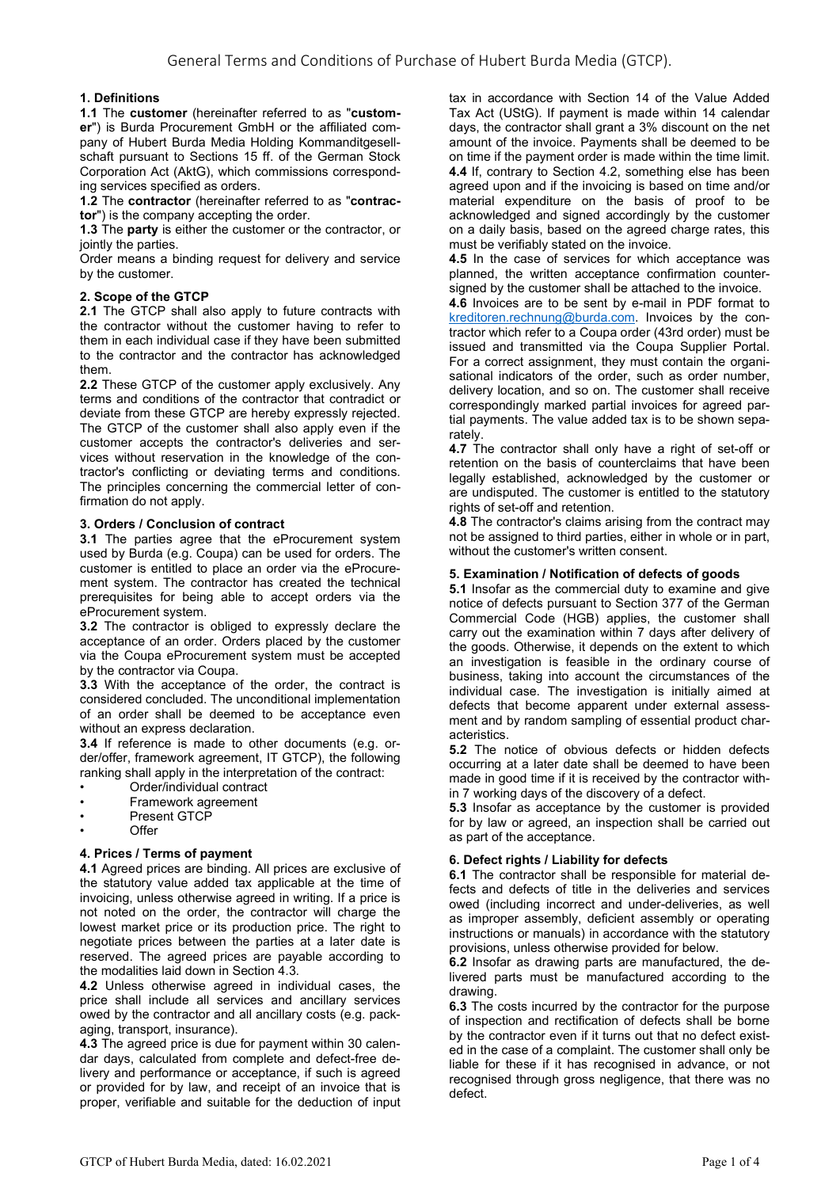# 1. Definitions

1.1 The customer (hereinafter referred to as "customer") is Burda Procurement GmbH or the affiliated company of Hubert Burda Media Holding Kommanditgesellschaft pursuant to Sections 15 ff. of the German Stock Corporation Act (AktG), which commissions corresponding services specified as orders.

1.2 The contractor (hereinafter referred to as "contractor") is the company accepting the order.

1.3 The party is either the customer or the contractor, or jointly the parties.

Order means a binding request for delivery and service by the customer.

# 2. Scope of the GTCP

2.1 The GTCP shall also apply to future contracts with the contractor without the customer having to refer to them in each individual case if they have been submitted to the contractor and the contractor has acknowledged them.

2.2 These GTCP of the customer apply exclusively. Any terms and conditions of the contractor that contradict or deviate from these GTCP are hereby expressly rejected. The GTCP of the customer shall also apply even if the customer accepts the contractor's deliveries and services without reservation in the knowledge of the contractor's conflicting or deviating terms and conditions. The principles concerning the commercial letter of confirmation do not apply.

# 3. Orders / Conclusion of contract

**3.1** The parties agree that the eProcurement system used by Burda (e.g. Coupa) can be used for orders. The customer is entitled to place an order via the eProcurement system. The contractor has created the technical prerequisites for being able to accept orders via the eProcurement system.

3.2 The contractor is obliged to expressly declare the acceptance of an order. Orders placed by the customer via the Coupa eProcurement system must be accepted by the contractor via Coupa.

3.3 With the acceptance of the order, the contract is considered concluded. The unconditional implementation of an order shall be deemed to be acceptance even without an express declaration.

3.4 If reference is made to other documents (e.g. order/offer, framework agreement, IT GTCP), the following ranking shall apply in the interpretation of the contract:

- Order/individual contract
- Framework agreement
- Present GTCP
- **Offer**

# 4. Prices / Terms of payment

4.1 Agreed prices are binding. All prices are exclusive of the statutory value added tax applicable at the time of invoicing, unless otherwise agreed in writing. If a price is not noted on the order, the contractor will charge the lowest market price or its production price. The right to negotiate prices between the parties at a later date is reserved. The agreed prices are payable according to the modalities laid down in Section 4.3.

4.2 Unless otherwise agreed in individual cases, the price shall include all services and ancillary services owed by the contractor and all ancillary costs (e.g. packaging, transport, insurance).

4.3 The agreed price is due for payment within 30 calendar days, calculated from complete and defect-free delivery and performance or acceptance, if such is agreed or provided for by law, and receipt of an invoice that is proper, verifiable and suitable for the deduction of input tax in accordance with Section 14 of the Value Added Tax Act (UStG). If payment is made within 14 calendar days, the contractor shall grant a 3% discount on the net amount of the invoice. Payments shall be deemed to be on time if the payment order is made within the time limit. 4.4 If, contrary to Section 4.2, something else has been agreed upon and if the invoicing is based on time and/or material expenditure on the basis of proof to be acknowledged and signed accordingly by the customer on a daily basis, based on the agreed charge rates, this must be verifiably stated on the invoice.

4.5 In the case of services for which acceptance was planned, the written acceptance confirmation countersigned by the customer shall be attached to the invoice.

4.6 Invoices are to be sent by e-mail in PDF format to kreditoren.rechnung@burda.com. Invoices by the contractor which refer to a Coupa order (43rd order) must be issued and transmitted via the Coupa Supplier Portal. For a correct assignment, they must contain the organisational indicators of the order, such as order number, delivery location, and so on. The customer shall receive correspondingly marked partial invoices for agreed partial payments. The value added tax is to be shown separately.

4.7 The contractor shall only have a right of set-off or retention on the basis of counterclaims that have been legally established, acknowledged by the customer or are undisputed. The customer is entitled to the statutory rights of set-off and retention.

4.8 The contractor's claims arising from the contract may not be assigned to third parties, either in whole or in part, without the customer's written consent.

# 5. Examination / Notification of defects of goods

5.1 Insofar as the commercial duty to examine and give notice of defects pursuant to Section 377 of the German Commercial Code (HGB) applies, the customer shall carry out the examination within 7 days after delivery of the goods. Otherwise, it depends on the extent to which an investigation is feasible in the ordinary course of business, taking into account the circumstances of the individual case. The investigation is initially aimed at defects that become apparent under external assessment and by random sampling of essential product characteristics.

5.2 The notice of obvious defects or hidden defects occurring at a later date shall be deemed to have been made in good time if it is received by the contractor within 7 working days of the discovery of a defect.

5.3 Insofar as acceptance by the customer is provided for by law or agreed, an inspection shall be carried out as part of the acceptance.

# 6. Defect rights / Liability for defects

6.1 The contractor shall be responsible for material defects and defects of title in the deliveries and services owed (including incorrect and under-deliveries, as well as improper assembly, deficient assembly or operating instructions or manuals) in accordance with the statutory provisions, unless otherwise provided for below.

6.2 Insofar as drawing parts are manufactured, the delivered parts must be manufactured according to the drawing.

6.3 The costs incurred by the contractor for the purpose of inspection and rectification of defects shall be borne by the contractor even if it turns out that no defect existed in the case of a complaint. The customer shall only be liable for these if it has recognised in advance, or not recognised through gross negligence, that there was no defect.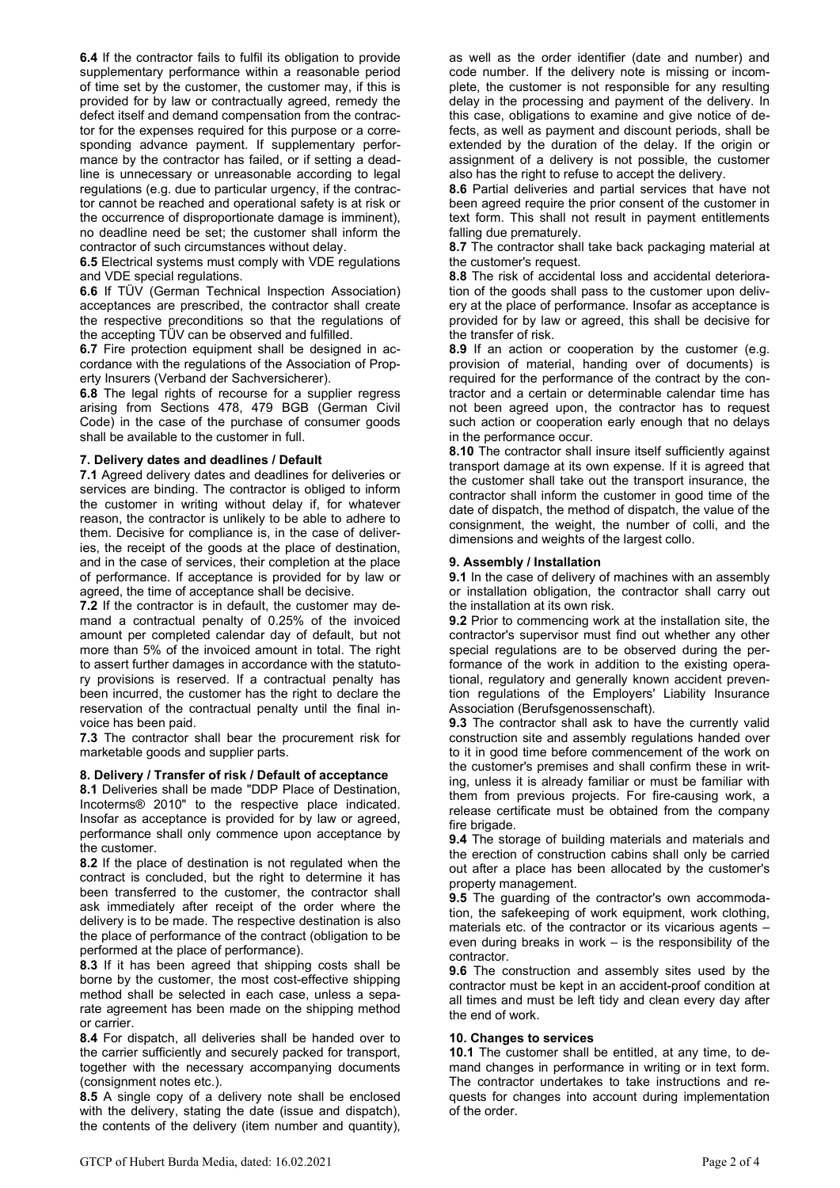6.4 If the contractor fails to fulfil its obligation to provide supplementary performance within a reasonable period of time set by the customer, the customer may, if this is provided for by law or contractually agreed, remedy the defect itself and demand compensation from the contractor for the expenses required for this purpose or a corresponding advance payment. If supplementary performance by the contractor has failed, or if setting a deadline is unnecessary or unreasonable according to legal regulations (e.g. due to particular urgency, if the contractor cannot be reached and operational safety is at risk or the occurrence of disproportionate damage is imminent), no deadline need be set; the customer shall inform the contractor of such circumstances without delay.

6.5 Electrical systems must comply with VDE regulations and VDE special regulations.

6.6 If TÜV (German Technical Inspection Association) acceptances are prescribed, the contractor shall create the respective preconditions so that the regulations of the accepting TÜV can be observed and fulfilled.

6.7 Fire protection equipment shall be designed in accordance with the regulations of the Association of Property Insurers (Verband der Sachversicherer).

6.8 The legal rights of recourse for a supplier regress arising from Sections 478, 479 BGB (German Civil Code) in the case of the purchase of consumer goods shall be available to the customer in full.

### 7. Delivery dates and deadlines / Default

7.1 Agreed delivery dates and deadlines for deliveries or services are binding. The contractor is obliged to inform the customer in writing without delay if, for whatever reason, the contractor is unlikely to be able to adhere to them. Decisive for compliance is, in the case of deliveries, the receipt of the goods at the place of destination, and in the case of services, their completion at the place of performance. If acceptance is provided for by law or agreed, the time of acceptance shall be decisive.

7.2 If the contractor is in default, the customer may demand a contractual penalty of 0.25% of the invoiced amount per completed calendar day of default, but not more than 5% of the invoiced amount in total. The right to assert further damages in accordance with the statutory provisions is reserved. If a contractual penalty has been incurred, the customer has the right to declare the reservation of the contractual penalty until the final invoice has been paid.

7.3 The contractor shall bear the procurement risk for marketable goods and supplier parts.

#### 8. Delivery / Transfer of risk / Default of acceptance

8.1 Deliveries shall be made "DDP Place of Destination, Incoterms® 2010" to the respective place indicated. Insofar as acceptance is provided for by law or agreed, performance shall only commence upon acceptance by the customer.

8.2 If the place of destination is not regulated when the contract is concluded, but the right to determine it has been transferred to the customer, the contractor shall ask immediately after receipt of the order where the delivery is to be made. The respective destination is also the place of performance of the contract (obligation to be performed at the place of performance).

8.3 If it has been agreed that shipping costs shall be borne by the customer, the most cost-effective shipping method shall be selected in each case, unless a separate agreement has been made on the shipping method or carrier.

8.4 For dispatch, all deliveries shall be handed over to the carrier sufficiently and securely packed for transport, together with the necessary accompanying documents (consignment notes etc.).

8.5 A single copy of a delivery note shall be enclosed with the delivery, stating the date (issue and dispatch), the contents of the delivery (item number and quantity), as well as the order identifier (date and number) and code number. If the delivery note is missing or incomplete, the customer is not responsible for any resulting delay in the processing and payment of the delivery. In this case, obligations to examine and give notice of defects, as well as payment and discount periods, shall be extended by the duration of the delay. If the origin or assignment of a delivery is not possible, the customer also has the right to refuse to accept the delivery.

8.6 Partial deliveries and partial services that have not been agreed require the prior consent of the customer in text form. This shall not result in payment entitlements falling due prematurely.

8.7 The contractor shall take back packaging material at the customer's request.

8.8 The risk of accidental loss and accidental deterioration of the goods shall pass to the customer upon delivery at the place of performance. Insofar as acceptance is provided for by law or agreed, this shall be decisive for the transfer of risk.

8.9 If an action or cooperation by the customer (e.g. provision of material, handing over of documents) is required for the performance of the contract by the contractor and a certain or determinable calendar time has not been agreed upon, the contractor has to request such action or cooperation early enough that no delays in the performance occur.

8.10 The contractor shall insure itself sufficiently against transport damage at its own expense. If it is agreed that the customer shall take out the transport insurance, the contractor shall inform the customer in good time of the date of dispatch, the method of dispatch, the value of the consignment, the weight, the number of colli, and the dimensions and weights of the largest collo.

#### 9. Assembly / Installation

9.1 In the case of delivery of machines with an assembly or installation obligation, the contractor shall carry out the installation at its own risk.

9.2 Prior to commencing work at the installation site, the contractor's supervisor must find out whether any other special regulations are to be observed during the performance of the work in addition to the existing operational, regulatory and generally known accident prevention regulations of the Employers' Liability Insurance Association (Berufsgenossenschaft).

9.3 The contractor shall ask to have the currently valid construction site and assembly regulations handed over to it in good time before commencement of the work on the customer's premises and shall confirm these in writing, unless it is already familiar or must be familiar with them from previous projects. For fire-causing work, a release certificate must be obtained from the company fire brigade.

9.4 The storage of building materials and materials and the erection of construction cabins shall only be carried out after a place has been allocated by the customer's property management.

9.5 The guarding of the contractor's own accommodation, the safekeeping of work equipment, work clothing, materials etc. of the contractor or its vicarious agents – even during breaks in work – is the responsibility of the contractor.

9.6 The construction and assembly sites used by the contractor must be kept in an accident-proof condition at all times and must be left tidy and clean every day after the end of work.

#### 10. Changes to services

10.1 The customer shall be entitled, at any time, to demand changes in performance in writing or in text form. The contractor undertakes to take instructions and requests for changes into account during implementation of the order.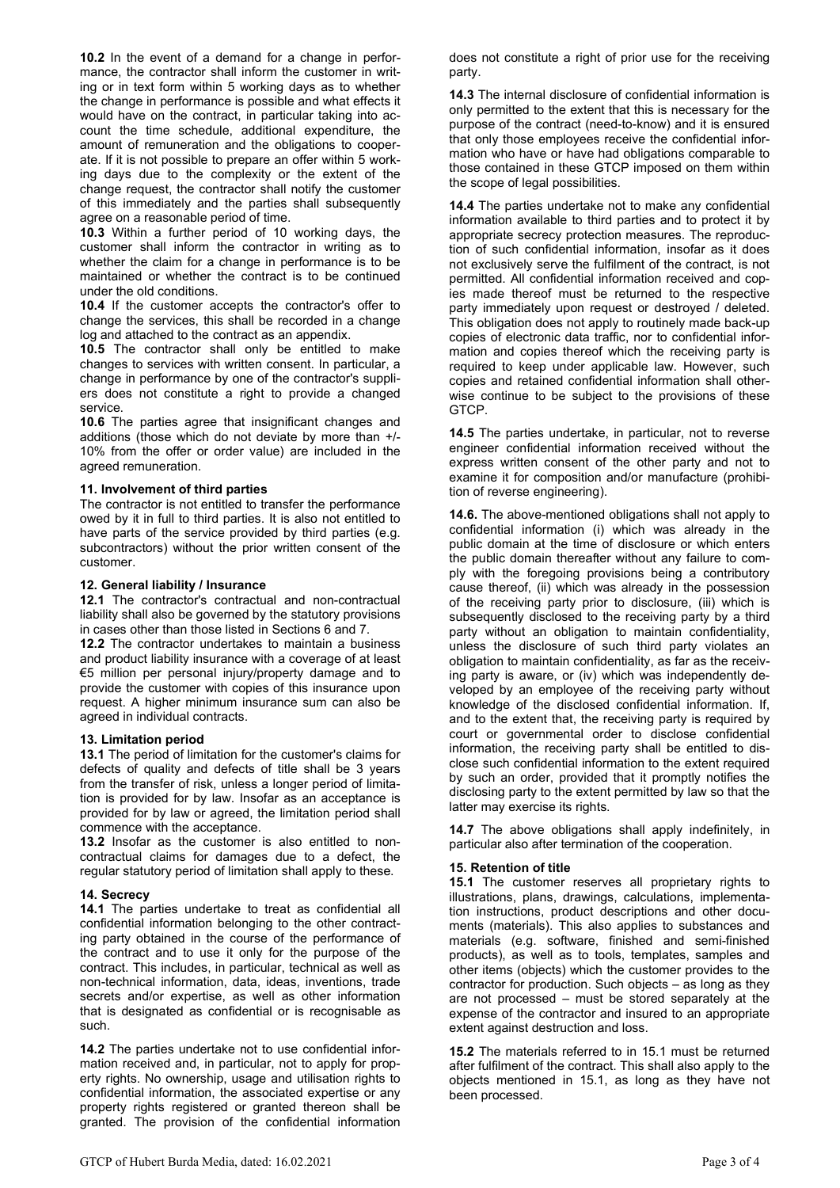10.2 In the event of a demand for a change in performance, the contractor shall inform the customer in writing or in text form within 5 working days as to whether the change in performance is possible and what effects it would have on the contract, in particular taking into account the time schedule, additional expenditure, the amount of remuneration and the obligations to cooperate. If it is not possible to prepare an offer within 5 working days due to the complexity or the extent of the change request, the contractor shall notify the customer of this immediately and the parties shall subsequently agree on a reasonable period of time.

10.3 Within a further period of 10 working days, the customer shall inform the contractor in writing as to whether the claim for a change in performance is to be maintained or whether the contract is to be continued under the old conditions.

10.4 If the customer accepts the contractor's offer to change the services, this shall be recorded in a change log and attached to the contract as an appendix.

10.5 The contractor shall only be entitled to make changes to services with written consent. In particular, a change in performance by one of the contractor's suppliers does not constitute a right to provide a changed service.

10.6 The parties agree that insignificant changes and additions (those which do not deviate by more than +/- 10% from the offer or order value) are included in the agreed remuneration.

### 11. Involvement of third parties

The contractor is not entitled to transfer the performance owed by it in full to third parties. It is also not entitled to have parts of the service provided by third parties (e.g. subcontractors) without the prior written consent of the customer.

### 12. General liability / Insurance

12.1 The contractor's contractual and non-contractual liability shall also be governed by the statutory provisions in cases other than those listed in Sections 6 and 7.

12.2 The contractor undertakes to maintain a business and product liability insurance with a coverage of at least €5 million per personal injury/property damage and to provide the customer with copies of this insurance upon request. A higher minimum insurance sum can also be agreed in individual contracts.

### 13. Limitation period

13.1 The period of limitation for the customer's claims for defects of quality and defects of title shall be 3 years from the transfer of risk, unless a longer period of limitation is provided for by law. Insofar as an acceptance is provided for by law or agreed, the limitation period shall commence with the acceptance.

13.2 Insofar as the customer is also entitled to noncontractual claims for damages due to a defect, the regular statutory period of limitation shall apply to these.

### 14. Secrecy

14.1 The parties undertake to treat as confidential all confidential information belonging to the other contracting party obtained in the course of the performance of the contract and to use it only for the purpose of the contract. This includes, in particular, technical as well as non-technical information, data, ideas, inventions, trade secrets and/or expertise, as well as other information that is designated as confidential or is recognisable as such.

14.2 The parties undertake not to use confidential information received and, in particular, not to apply for property rights. No ownership, usage and utilisation rights to confidential information, the associated expertise or any property rights registered or granted thereon shall be granted. The provision of the confidential information does not constitute a right of prior use for the receiving party.

14.3 The internal disclosure of confidential information is only permitted to the extent that this is necessary for the purpose of the contract (need-to-know) and it is ensured that only those employees receive the confidential information who have or have had obligations comparable to those contained in these GTCP imposed on them within the scope of legal possibilities.

14.4 The parties undertake not to make any confidential information available to third parties and to protect it by appropriate secrecy protection measures. The reproduction of such confidential information, insofar as it does not exclusively serve the fulfilment of the contract, is not permitted. All confidential information received and copies made thereof must be returned to the respective party immediately upon request or destroyed / deleted. This obligation does not apply to routinely made back-up copies of electronic data traffic, nor to confidential information and copies thereof which the receiving party is required to keep under applicable law. However, such copies and retained confidential information shall otherwise continue to be subject to the provisions of these GTCP.

14.5 The parties undertake, in particular, not to reverse engineer confidential information received without the express written consent of the other party and not to examine it for composition and/or manufacture (prohibition of reverse engineering).

14.6. The above-mentioned obligations shall not apply to confidential information (i) which was already in the public domain at the time of disclosure or which enters the public domain thereafter without any failure to comply with the foregoing provisions being a contributory cause thereof, (ii) which was already in the possession of the receiving party prior to disclosure, (iii) which is subsequently disclosed to the receiving party by a third party without an obligation to maintain confidentiality, unless the disclosure of such third party violates an obligation to maintain confidentiality, as far as the receiving party is aware, or (iv) which was independently developed by an employee of the receiving party without knowledge of the disclosed confidential information. If, and to the extent that, the receiving party is required by court or governmental order to disclose confidential information, the receiving party shall be entitled to disclose such confidential information to the extent required by such an order, provided that it promptly notifies the disclosing party to the extent permitted by law so that the latter may exercise its rights.

14.7 The above obligations shall apply indefinitely, in particular also after termination of the cooperation.

### 15. Retention of title

15.1 The customer reserves all proprietary rights to illustrations, plans, drawings, calculations, implementation instructions, product descriptions and other documents (materials). This also applies to substances and materials (e.g. software, finished and semi-finished products), as well as to tools, templates, samples and other items (objects) which the customer provides to the contractor for production. Such objects – as long as they are not processed – must be stored separately at the expense of the contractor and insured to an appropriate extent against destruction and loss.

15.2 The materials referred to in 15.1 must be returned after fulfilment of the contract. This shall also apply to the objects mentioned in 15.1, as long as they have not been processed.